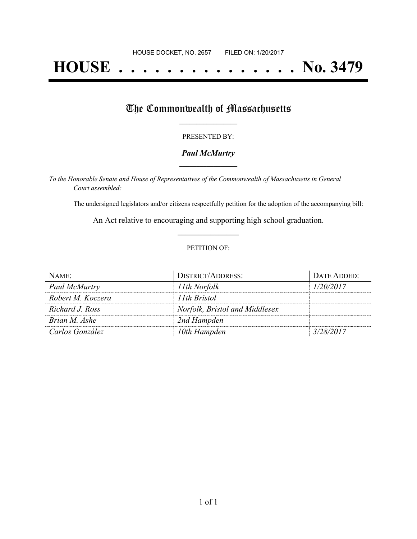# **HOUSE . . . . . . . . . . . . . . . No. 3479**

## The Commonwealth of Massachusetts

#### PRESENTED BY:

## *Paul McMurtry* **\_\_\_\_\_\_\_\_\_\_\_\_\_\_\_\_\_**

*To the Honorable Senate and House of Representatives of the Commonwealth of Massachusetts in General Court assembled:*

The undersigned legislators and/or citizens respectfully petition for the adoption of the accompanying bill:

An Act relative to encouraging and supporting high school graduation. **\_\_\_\_\_\_\_\_\_\_\_\_\_\_\_**

### PETITION OF:

| NAME:             | <b>DISTRICT/ADDRESS:</b>       | DATE ADDED: |
|-------------------|--------------------------------|-------------|
| Paul McMurtry     | 11th Norfolk                   | 1/20/2017   |
| Robert M. Koczera | 11th Bristol                   |             |
| Richard J. Ross   | Norfolk, Bristol and Middlesex |             |
| Brian M. Ashe     | 2nd Hampden                    |             |
| Carlos González   | 10th Hampden                   | 3/28/2017   |